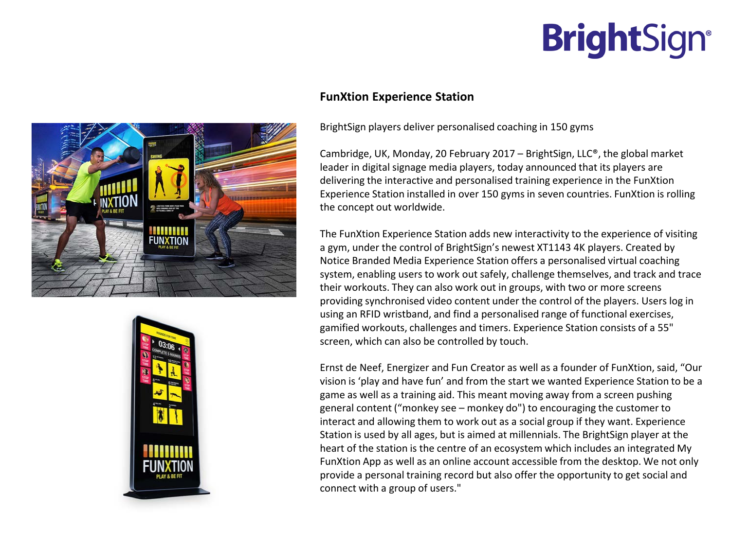## **BrightSign®**





## **FunXtion Experience Station**

BrightSign players deliver personalised coaching in 150 gyms

Cambridge, UK, Monday, 20 February 2017 – BrightSign, LLC<sup>®</sup>, the global market leader in digital signage media players, today announced that its players are delivering the interactive and personalised training experience in the FunXtion Experience Station installed in over 150 gyms in seven countries. FunXtion is rolling the concept out worldwide.

The FunXtion Experience Station adds new interactivity to the experience of visiting a gym, under the control of BrightSign's newest XT1143 4K players. Created by Notice Branded Media Experience Station offers a personalised virtual coaching system, enabling users to work out safely, challenge themselves, and track and trace their workouts. They can also work out in groups, with two or more screens providing synchronised video content under the control of the players. Users log in using an RFID wristband, and find a personalised range of functional exercises, gamified workouts, challenges and timers. Experience Station consists of a 55" screen, which can also be controlled by touch.

Ernst de Neef, Energizer and Fun Creator as well as a founder of FunXtion, said, "Our vision is 'play and have fun' and from the start we wanted Experience Station to be a game as well as a training aid. This meant moving away from a screen pushing general content ("monkey see – monkey do") to encouraging the customer to interact and allowing them to work out as a social group if they want. Experience Station is used by all ages, but is aimed at millennials. The BrightSign player at the heart of the station is the centre of an ecosystem which includes an integrated My FunXtion App as well as an online account accessible from the desktop. We not only provide a personal training record but also offer the opportunity to get social and connect with a group of users."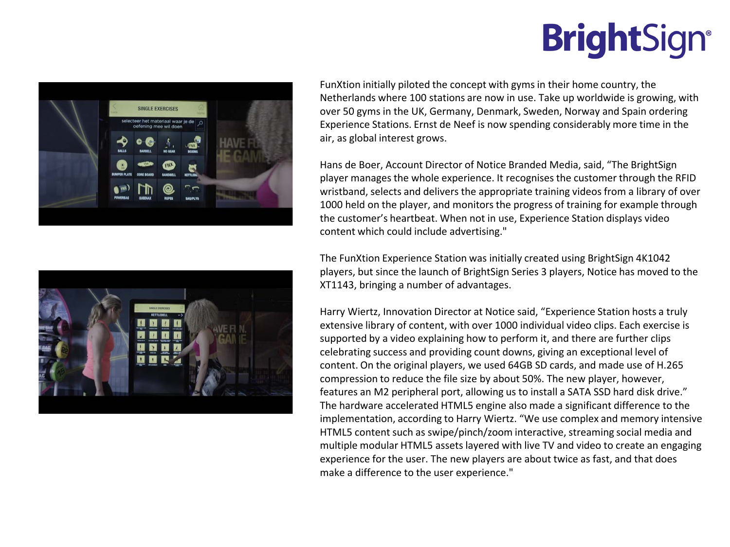## **BrightSign®**





FunXtion initially piloted the concept with gyms in their home country, the Netherlands where 100 stations are now in use. Take up worldwide is growing, with over 50 gyms in the UK, Germany, Denmark, Sweden, Norway and Spain ordering Experience Stations. Ernst de Neef is now spending considerably more time in the air, as global interest grows.

Hans de Boer, Account Director of Notice Branded Media, said, "The BrightSign player manages the whole experience. It recognises the customer through the RFID wristband, selects and delivers the appropriate training videos from a library of over 1000 held on the player, and monitors the progress of training for example through the customer's heartbeat. When not in use, Experience Station displays video content which could include advertising."

The FunXtion Experience Station was initially created using BrightSign 4K1042 players, but since the launch of BrightSign Series 3 players, Notice has moved to the XT1143, bringing a number of advantages.

Harry Wiertz, Innovation Director at Notice said, "Experience Station hosts a truly extensive library of content, with over 1000 individual video clips. Each exercise is supported by a video explaining how to perform it, and there are further clips celebrating success and providing count downs, giving an exceptional level of content. On the original players, we used 64GB SD cards, and made use of H.265 compression to reduce the file size by about 50%. The new player, however, features an M2 peripheral port, allowing us to install a SATA SSD hard disk drive." The hardware accelerated HTML5 engine also made a significant difference to the implementation, according to Harry Wiertz. "We use complex and memory intensive HTML5 content such as swipe/pinch/zoom interactive, streaming social media and multiple modular HTML5 assets layered with live TV and video to create an engaging experience for the user. The new players are about twice as fast, and that does make a difference to the user experience."